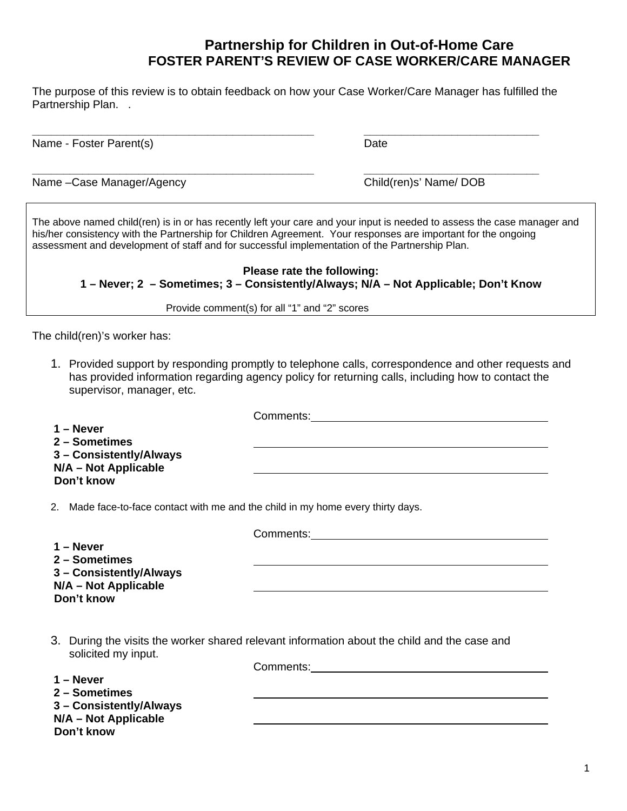The purpose of this review is to obtain feedback on how your Case Worker/Care Manager has fulfilled the Partnership Plan. .

**\_\_\_\_\_\_\_\_\_\_\_\_\_\_\_\_\_\_\_\_\_\_\_\_\_\_\_\_\_\_\_\_\_\_\_\_\_\_\_\_\_\_\_\_\_ \_\_\_\_\_\_\_\_\_\_\_\_\_\_\_\_\_\_\_\_\_\_\_\_\_\_\_\_** 

**\_\_\_\_\_\_\_\_\_\_\_\_\_\_\_\_\_\_\_\_\_\_\_\_\_\_\_\_\_\_\_\_\_\_\_\_\_\_\_\_\_\_\_\_\_ \_\_\_\_\_\_\_\_\_\_\_\_\_\_\_\_\_\_\_\_\_\_\_\_\_\_\_\_**

Name - Foster Parent(s) and Date Date Date

Name –Case Manager/Agency Child(ren)s' Name/ DOB

The above named child(ren) is in or has recently left your care and your input is needed to assess the case manager and his/her consistency with the Partnership for Children Agreement. Your responses are important for the ongoing assessment and development of staff and for successful implementation of the Partnership Plan.

**Please rate the following: 1 – Never; 2 – Sometimes; 3 – Consistently/Always; N/A – Not Applicable; Don't Know** 

Provide comment(s) for all "1" and "2" scores

The child(ren)'s worker has:

1. Provided support by responding promptly to telephone calls, correspondence and other requests and has provided information regarding agency policy for returning calls, including how to contact the supervisor, manager, etc.

|                                                                                  | Comments: |
|----------------------------------------------------------------------------------|-----------|
| 1 – Never                                                                        |           |
| 2 – Sometimes                                                                    |           |
| 3 - Consistently/Always<br>N/A - Not Applicable                                  |           |
| Don't know                                                                       |           |
| 2. Made face-to-face contact with me and the child in my home every thirty days. |           |

Comments:

|                                                 | <b>00.</b>                                                                                   |
|-------------------------------------------------|----------------------------------------------------------------------------------------------|
| 1 – Never<br>2 – Sometimes                      |                                                                                              |
| 3 - Consistently/Always<br>N/A - Not Applicable |                                                                                              |
| Don't know                                      |                                                                                              |
|                                                 |                                                                                              |
|                                                 | 3. During the visits the worker shared relevant information about the child and the case and |
| solicited my input.                             |                                                                                              |
| $1 -$ Never                                     | Comments:                                                                                    |
| 2 – Sometimes                                   |                                                                                              |
|                                                 |                                                                                              |
| 3 - Consistently/Always<br>N/A - Not Applicable |                                                                                              |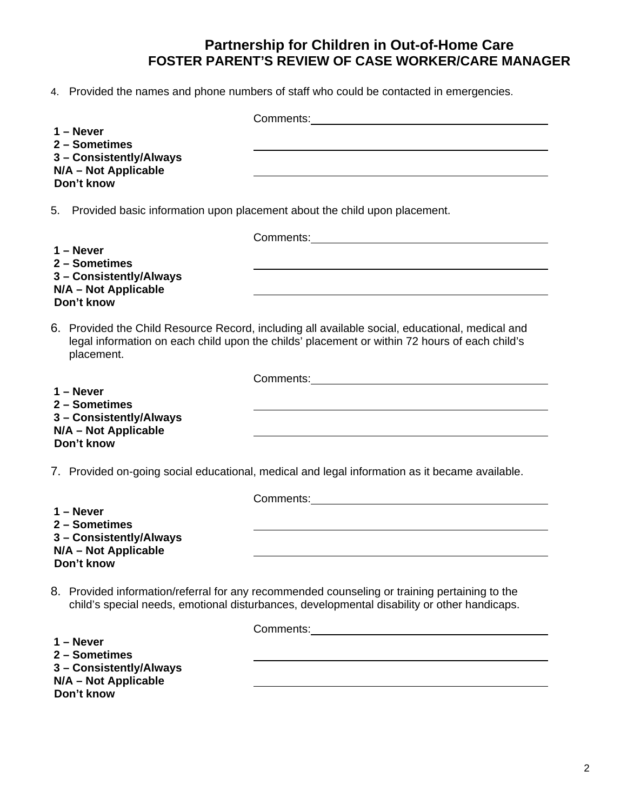4. Provided the names and phone numbers of staff who could be contacted in emergencies.

| $1 -$ Never<br>2 - Sometimes                    |                                                                                                                                                                                                  |
|-------------------------------------------------|--------------------------------------------------------------------------------------------------------------------------------------------------------------------------------------------------|
| 3 - Consistently/Always                         |                                                                                                                                                                                                  |
| N/A - Not Applicable<br>Don't know              |                                                                                                                                                                                                  |
|                                                 |                                                                                                                                                                                                  |
| 5.                                              | Provided basic information upon placement about the child upon placement.                                                                                                                        |
|                                                 |                                                                                                                                                                                                  |
| $1 -$ Never<br>2 - Sometimes                    |                                                                                                                                                                                                  |
| 3 - Consistently/Always<br>N/A - Not Applicable |                                                                                                                                                                                                  |
| Don't know                                      |                                                                                                                                                                                                  |
| placement.                                      | 6. Provided the Child Resource Record, including all available social, educational, medical and<br>legal information on each child upon the childs' placement or within 72 hours of each child's |
|                                                 | Comments: Comments:                                                                                                                                                                              |
| $1 -$ Never<br>2 - Sometimes                    |                                                                                                                                                                                                  |
| 3 - Consistently/Always                         |                                                                                                                                                                                                  |
| N/A - Not Applicable<br>Don't know              |                                                                                                                                                                                                  |
|                                                 | 7. Provided on-going social educational, medical and legal information as it became available.                                                                                                   |
|                                                 | Comments: Comments:                                                                                                                                                                              |
| $1 -$ Never<br>2 - Sometimes                    |                                                                                                                                                                                                  |
| 3 - Consistently/Always                         |                                                                                                                                                                                                  |
| N/A - Not Applicable<br>Don't know              |                                                                                                                                                                                                  |
|                                                 |                                                                                                                                                                                                  |
|                                                 | 8. Provided information/referral for any recommended counseling or training pertaining to the<br>child's special needs, emotional disturbances, developmental disability or other handicaps.     |
|                                                 |                                                                                                                                                                                                  |
| $1 -$ Never<br>2 - Sometimes                    |                                                                                                                                                                                                  |
| 3 - Consistently/Always                         |                                                                                                                                                                                                  |
| N/A - Not Applicable<br>Don't know              |                                                                                                                                                                                                  |
|                                                 |                                                                                                                                                                                                  |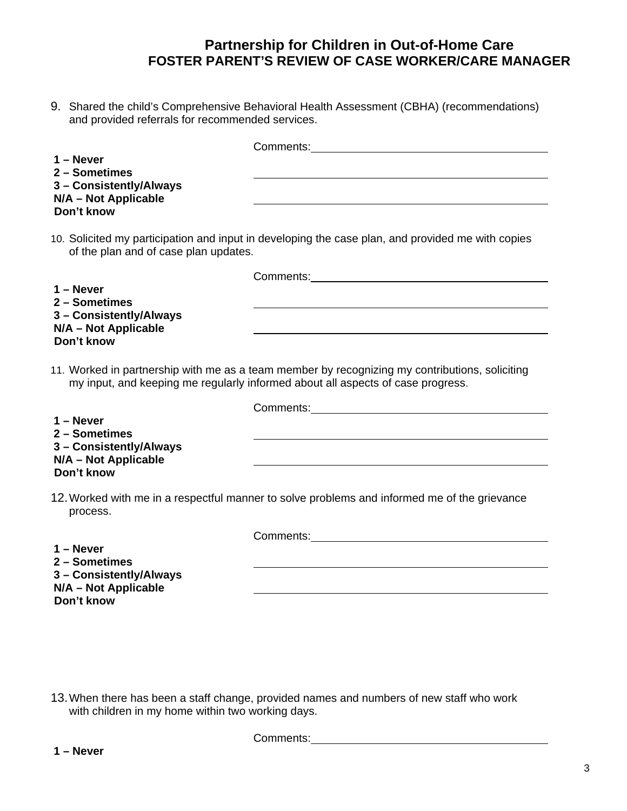9. Shared the child's Comprehensive Behavioral Health Assessment (CBHA) (recommendations) and provided referrals for recommended services.

| $1 -$ Never<br>2 - Sometimes                                  |                                                                                                                                                                                   |
|---------------------------------------------------------------|-----------------------------------------------------------------------------------------------------------------------------------------------------------------------------------|
| 3 - Consistently/Always<br>N/A - Not Applicable<br>Don't know |                                                                                                                                                                                   |
| of the plan and of case plan updates.                         | 10. Solicited my participation and input in developing the case plan, and provided me with copies                                                                                 |
|                                                               | <b>Comments:</b> Comments:                                                                                                                                                        |
| $1 -$ Never                                                   |                                                                                                                                                                                   |
| 2 - Sometimes<br>3 - Consistently/Always                      |                                                                                                                                                                                   |
| N/A - Not Applicable                                          |                                                                                                                                                                                   |
| Don't know                                                    |                                                                                                                                                                                   |
|                                                               | 11. Worked in partnership with me as a team member by recognizing my contributions, soliciting<br>my input, and keeping me regularly informed about all aspects of case progress. |
|                                                               |                                                                                                                                                                                   |
| $1 -$ Never<br>2 - Sometimes                                  |                                                                                                                                                                                   |
| 3 - Consistently/Always                                       |                                                                                                                                                                                   |
| N/A - Not Applicable                                          |                                                                                                                                                                                   |
| Don't know                                                    |                                                                                                                                                                                   |
| process.                                                      | 12. Worked with me in a respectful manner to solve problems and informed me of the grievance                                                                                      |
|                                                               |                                                                                                                                                                                   |
| $1 -$ Never                                                   |                                                                                                                                                                                   |
| 2 - Sometimes                                                 |                                                                                                                                                                                   |
|                                                               |                                                                                                                                                                                   |
| 3 - Consistently/Always<br>N/A - Not Applicable               |                                                                                                                                                                                   |

13.When there has been a staff change, provided names and numbers of new staff who work with children in my home within two working days.

Comments:

**Don't know**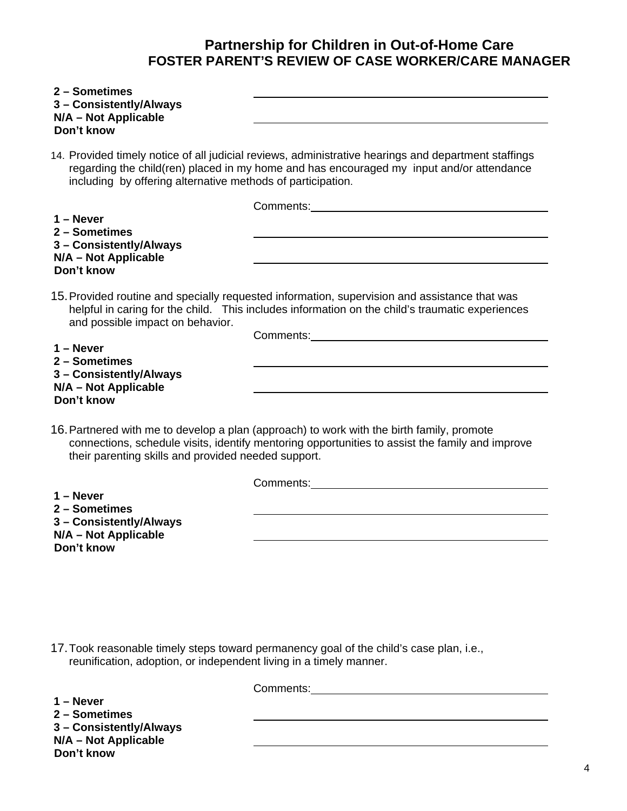| 2 - Sometimes<br>3 - Consistently/Always<br>N/A - Not Applicable<br>Don't know |                                                                                                                                                                                                                                |
|--------------------------------------------------------------------------------|--------------------------------------------------------------------------------------------------------------------------------------------------------------------------------------------------------------------------------|
| including by offering alternative methods of participation.                    | 14. Provided timely notice of all judicial reviews, administrative hearings and department staffings<br>regarding the child(ren) placed in my home and has encouraged my input and/or attendance                               |
|                                                                                |                                                                                                                                                                                                                                |
| $1 -$ Never                                                                    |                                                                                                                                                                                                                                |
| 2 - Sometimes<br>3 - Consistently/Always<br>N/A - Not Applicable<br>Don't know |                                                                                                                                                                                                                                |
| and possible impact on behavior.                                               | 15. Provided routine and specially requested information, supervision and assistance that was<br>helpful in caring for the child. This includes information on the child's traumatic experiences<br>Comments: <u>comments:</u> |
| $1 -$ Never<br>2 - Sometimes                                                   |                                                                                                                                                                                                                                |
| 3 - Consistently/Always<br>N/A - Not Applicable                                |                                                                                                                                                                                                                                |
| Don't know                                                                     |                                                                                                                                                                                                                                |
| their parenting skills and provided needed support.                            | 16. Partnered with me to develop a plan (approach) to work with the birth family, promote<br>connections, schedule visits, identify mentoring opportunities to assist the family and improve                                   |
|                                                                                | Comments: Executive Comments:                                                                                                                                                                                                  |
| $1 -$ Never                                                                    |                                                                                                                                                                                                                                |
| 2 - Sometimes<br>3 - Consistently/Always                                       |                                                                                                                                                                                                                                |
| N/A - Not Applicable                                                           |                                                                                                                                                                                                                                |
| Don't know                                                                     |                                                                                                                                                                                                                                |

17.Took reasonable timely steps toward permanency goal of the child's case plan, i.e., reunification, adoption, or independent living in a timely manner.

Comments: Comments: Comments: Comments: Comments: Comments: Comments: Comments: Comments: Comments: Comments: Comments: Comments: Comments: Comments: Comments: Comments: Comments: Comments: Comments: Comments: Comments: Co **1 – Never 2 – Sometimes 3 – Consistently/Always N/A – Not Applicable Don't know**